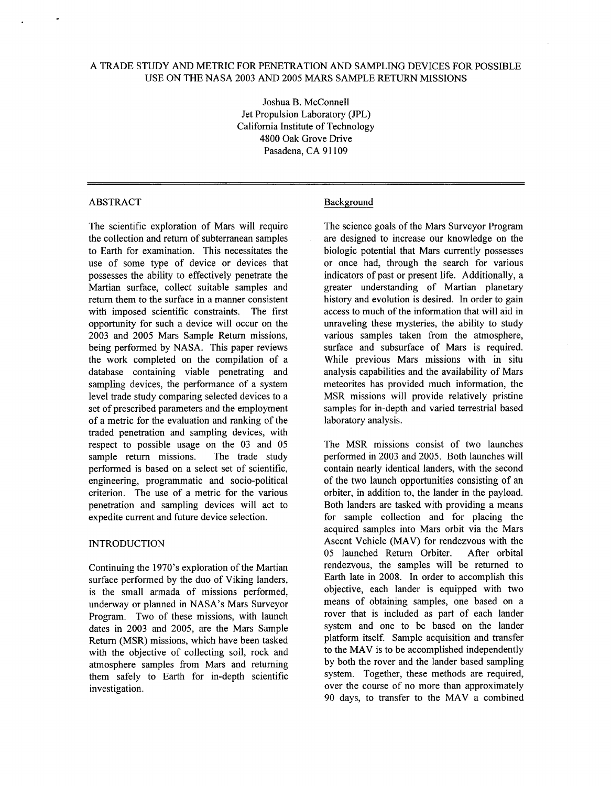# A TRADE STUDY AND METRIC FOR PENETRATION AND SAMPLING DEVICES FOR POSSIBLE USE ON THE NASA 2003 AND 2005 MARS SAMPLE RETURN MISSIONS

Joshua B. McConnell Jet Propulsion Laboratory (JPL) California Institute of Technology 4800 Oak Grove Drive Pasadena, CA 91109

### ABSTRACT

The scientific exploration of Mars will require the collection and return of subterranean samples to Earth for examination. This necessitates the use of some type of device or devices that possesses the ability to effectively penetrate the Martian surface, collect suitable samples and return them to the surface in a manner consistent with imposed scientific constraints. The first opportunity for such a device will occur on the 2003 and 2005 Mars Sample Return missions, being performed by NASA. This paper reviews the work completed on the compilation of a database containing viable penetrating and sampling devices, the performance of a system level trade study comparing selected devices to a set of prescribed parameters and the employment of a metric for the evaluation and ranking of the traded penetration and sampling devices, with respect to possible usage on the 03 and **05**  sample return missions. The trade study performed is based on a select set of scientific, engineering, programmatic and socio-political criterion. The use of a metric for the various penetration and sampling devices will act to expedite current and future device selection.

## INTRODUCTION

Continuing the 1970's exploration of the Martian surface performed by the duo of Viking landers, is the small armada of missions performed, underway or planned in NASA's Mars Surveyor Program. Two of these missions, with launch dates in 2003 and 2005, are the Mars Sample Return (MSR) missions, which have been tasked with the objective of collecting soil, rock and atmosphere samples from Mars and returning them safely to Earth for in-depth scientific investigation.

#### Background

The science goals of the Mars Surveyor Program are designed to increase our knowledge on the biologic potential that Mars currently possesses or once had, through the search for various indicators of past or present life. Additionally, a greater understanding of Martian planetary history and evolution is desired. In order to gain access to much of the information that will aid in unraveling these mysteries, the ability to study various samples taken from the atmosphere, surface and subsurface of Mars is required. While previous Mars missions with in situ analysis capabilities and the availability of Mars meteorites has provided much information, the MSR missions will provide relatively pristine samples for in-depth and varied terrestrial based laboratory analysis.

The MSR missions consist of two launches performed in 2003 and 2005. Both launches will contain nearly identical landers, with the second of the two launch opportunities consisting of an orbiter, in addition to, the lander in the payload. Both landers are tasked with providing a means for sample collection and for placing the acquired samples into Mars orbit via the Mars Ascent Vehicle (MAV) for rendezvous with the 05 launched Return Orbiter. After orbital rendezvous, the samples will be returned to Earth late in 2008. In order to accomplish this objective, each lander is equipped with two means of obtaining samples, one based on a rover that is included as part of each lander system and one to be based on the lander platform itself. Sample acquisition and transfer to the MAV is to be accomplished independently by both the rover and the lander based sampling system. Together, these methods are required, over the course of no more than approximately 90 days, to transfer to the MAV a combined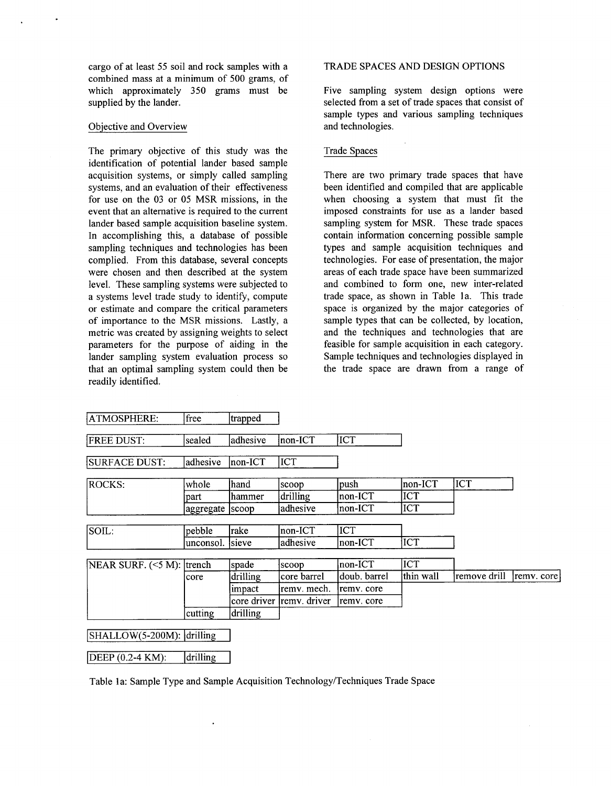cargo of at least 55 soil and rock samples with a combined mass at a minimum of 500 grams, of which approximately 350 grams must be supplied by the lander.

## Objective and Overview

The primary objective of this study was the identification of potential lander based sample acquisition systems, or simply called sampling systems, and an evaluation of their effectiveness for use on the **03** or 05 MSR missions, in the event that an alternative is required to the current lander based sample acquisition baseline system. In accomplishing this, a database of possible sampling techniques and technologies has been complied. From this database, several concepts were chosen and then described at the system level. These sampling systems were subjected to a systems level trade study to identify, compute or estimate and compare the critical parameters of importance to the MSR missions. Lastly, a metric was created by assigning weights to select parameters for the purpose of aiding in the lander sampling system evaluation process so that an optimal sampling system could then be readily identified.

## TRADE SPACES AND DESIGN OPTIONS

Five sampling system design options were selected from a set of trade spaces that consist of sample types and various sampling techniques and technologies.

# Trade Spaces

There are two primary trade spaces that have been identified and compiled that are applicable when choosing a system that must fit the imposed constraints for use as a lander based sampling system for MSR. These trade spaces contain information concerning possible sample types and sample acquisition techniques and technologies. For ease of presentation, the major areas of each trade space have been summarized and combined to form one, new inter-related trade space, as shown in Table la. This trade space is organized by the major categories of sample types that can be collected, by location, and the techniques and technologies that are feasible for sample acquisition in each category. Sample techniques and technologies displayed in the trade space are drawn from a range of

| ATMOSPHERE:                  | free      | trapped     |              |              |            |              |           |
|------------------------------|-----------|-------------|--------------|--------------|------------|--------------|-----------|
| <b>FREE DUST:</b>            | sealed    | adhesive    | non-ICT      | ICT          |            |              |           |
| <b>SURFACE DUST:</b>         | adhesive  | $non-ICT$   | ICT          |              |            |              |           |
| ROCKS:                       | whole     | hand        | scoop        | 'push        | non-ICT    | <b>ICT</b>   |           |
|                              | part      | hammer      | drilling     | non-ICT      | ICT        |              |           |
|                              | aggregate | scoop       | adhesive     | $non-ICT$    | <b>ICT</b> |              |           |
|                              |           |             |              |              |            |              |           |
| SOIL:                        | pebble    | rake        | non-ICT      | <b>ICT</b>   |            |              |           |
|                              | unconsol. | sieve       | adhesive     | non-ICT      | <b>ICT</b> |              |           |
|                              |           |             |              |              |            |              |           |
| NEAR SURF. $(<5 M)$ :        |           | spade       | scoop        | non-ICT      | ICT        |              |           |
|                              | core      | drilling    | core barrel  | doub. barrel | thin wall  | remove drill | remv.core |
|                              |           | impact      | remv. mech.  | remv. core   |            |              |           |
|                              |           | core driver | remv. driver | remv. core   |            |              |           |
|                              | cutting   | drilling    |              |              |            |              |           |
| $SHALLOW(5-200M):  drilling$ |           |             |              |              |            |              |           |

 $DEEP (0.2-4 KM):$  drilling

Table la: Sample Type and Sample Acquisition Technology/Techniques Trade Space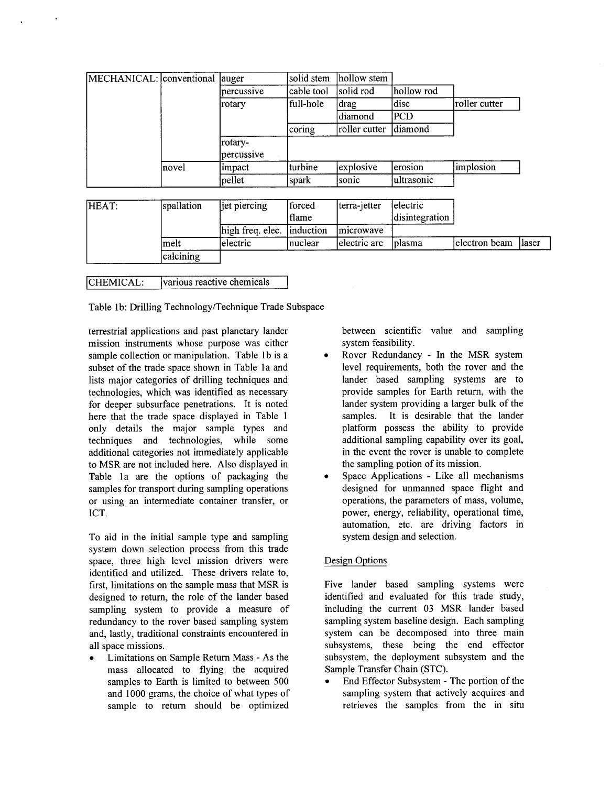| MECHANICAL: conventional lauger |             |                       | solid stem                     | hollow stem   |             |               |
|---------------------------------|-------------|-----------------------|--------------------------------|---------------|-------------|---------------|
|                                 |             | percussive            | cable tool                     | solid rod     | hollow rod  |               |
|                                 |             | rotary                | full-hole                      | drag          | disc        | roller cutter |
|                                 |             |                       |                                | diamond       | PCD         |               |
|                                 |             |                       | coring                         | roller cutter | diamond     |               |
|                                 |             | rotary-<br>percussive |                                |               |             |               |
|                                 | Inovel      | impact                | turbine                        | explosive     | lerosion    | implosion     |
|                                 |             | pellet                | spark                          | sonic         | lultrasonic |               |
|                                 |             |                       |                                |               |             |               |
| item a m.                       | $\sim 11.4$ | $\frac{1}{2}$         | $f_{\alpha \nu \alpha \alpha}$ | ltawwa jattan | منسدماه     |               |

| IHEAT: | spallation | liet piercing               | forced<br>flame | lterra-jetter | <i>delectric</i><br>disintegration |               |       |
|--------|------------|-----------------------------|-----------------|---------------|------------------------------------|---------------|-------|
|        |            | high freg. elec. linduction |                 | Imicrowave    |                                    |               |       |
|        | lmelt      | lelectric                   | Inuclear        | lelectric arc | Iplasma                            | electron beam | Haser |
|        | calcining  |                             |                 |               |                                    |               |       |

| CHEMICAL: | <i>various reactive chemicals</i> |  |
|-----------|-----------------------------------|--|

|  |  |  |  |  | Table 1b: Drilling Technology/Technique Trade Subspace |
|--|--|--|--|--|--------------------------------------------------------|
|--|--|--|--|--|--------------------------------------------------------|

terrestrial applications and past planetary lander mission instruments whose purpose was either sample collection or manipulation. Table lb is a subset of the trade space shown in Table la and lists major categories of drilling techniques and technologies, which was identified as necessary for deeper subsurface penetrations. It is noted here that the trade space displayed in Table 1 only details the major sample types and techniques and technologies, while some additional categories not immediately applicable to MSR are not included here. Also displayed in Table la are the options of packaging the samples for transport during sampling operations or using an intermediate container transfer, or ICT.

To aid in the initial sample type and sampling system down selection process from this trade space, three high level mission drivers were identified and utilized. These drivers relate to, first, limitations on the sample mass that MSR is designed to return, the role of the lander based sampling system to provide a measure of redundancy to the rover based sampling system and, lastly, traditional constraints encountered in all space missions.

Limitations on Sample Return Mass - As the mass allocated to flying the acquired samples to Earth is limited to between 500 and 1000 grams, the choice of what types of sample to return should be optimized between scientific value and sampling system feasibility.

- Rover Redundancy In the MSR system level requirements, both the rover and the lander based sampling systems are to provide samples for Earth return, with the lander system providing a larger bulk of the samples. It is desirable that the lander platform possess the ability to provide additional sampling capability over its goal, in the event the rover is unable to complete the sampling potion of its mission.
- Space Applications Like all mechanisms designed for unmanned space flight and operations, the parameters of mass, volume, power, energy, reliability, operational time, automation, etc. are driving factors in system design and selection.

# Design Options

Five lander based sampling systems were identified and evaluated for this trade study, including the current 03 MSR lander based sampling system baseline design. Each sampling system can be decomposed into three main subsystems, these being the end effector subsystem, the deployment subsystem and the Sample Transfer Chain (STC).

End Effector Subsystem - The portion of the sampling system that actively acquires and retrieves the samples from the in situ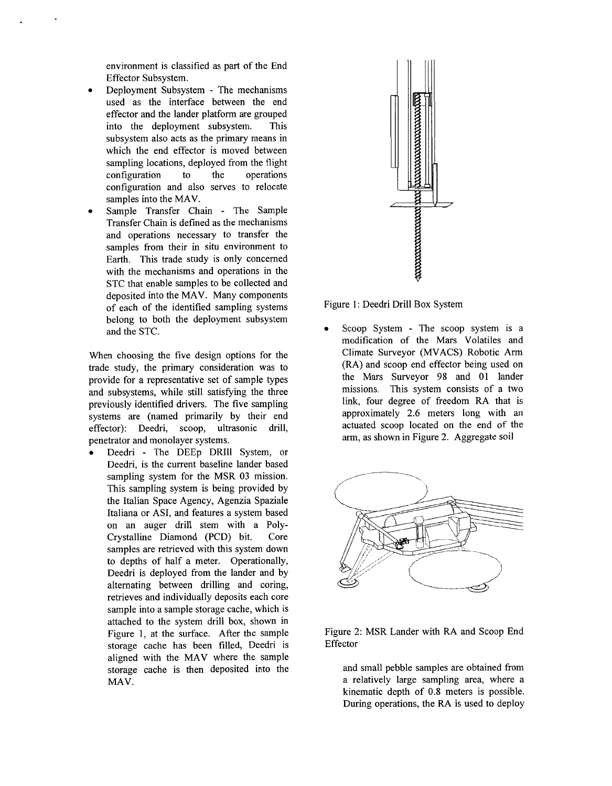environment is classified as part of the End Effector Subsystem.

- Deployment Subsystem The mechanisms used as the interface between the end effector and the lander platform are grouped into the deployment subsystem. This subsystem also acts as the primary means in which the end effector is moved between sampling locations, deployed from the flight<br>configuration to the operations configuration to the configuration and also serves to relocate samples into the MAV.
- Sample Transfer Chain The Sample Transfer Chain is defined as the mechanisms and operations necessary to transfer the samples from their in situ environment to Earth. This trade study is only concerned with the mechanisms and operations in the STC that enable samples to be collected and deposited into the MAV. Many components of each of the identified sampling systems belong to both the deployment subsystem and the STC.

When choosing the five design options for the trade study, the primary consideration was to provide for a representative set of sample types and subsystems, while still satisfying the three previously identified drivers. The five sampling systems are (named primarily by their end effector): Deedri, scoop, ultrasonic drill, penetrator and monolayer systems.

Deedri - The DEEP DRIll System, or Deedri, is the current baseline lander based sampling system for the MSR 03 mission. This sampling system is being provided by the Italian Space Agency, Agenzia Spaziale Italiana or ASI, and features a system based on an auger drill stem with a Polycrystalline Diamond (PCD) bit. Core samples are retrieved with this system down to depths of half a meter. Operationally, Deedri is deployed from the lander and by alternating between drilling and coring, retrieves and individually deposits each core sample into a sample storage cache, which is attached to the system drill box, shown in Figure 1, at the surface. After the sample storage cache has been filled, Deedri is aligned with the MAV where the sample storage cache is then deposited into the MAV.



Figure 1: Deedri Drill Box System

Scoop System - The scoop system is a modification of the Mars Volatiles and Climate Surveyor (MVACS) Robotic Arm (RA) and scoop end effector being used on the Mars Surveyor **98** and 01 lander missions. This system consists of a two link, four degree of freedom RA that is approximately *2.6* meters long with an actuated scoop located on the end of the arm, as shown in Figure 2. Aggregate soil



Figure 2: MSR Lander with RA and Scoop End Effector

and small pebble samples are obtained from a relatively large sampling area, where a kinematic depth of 0.8 meters is possible. During operations, the RA is used to deploy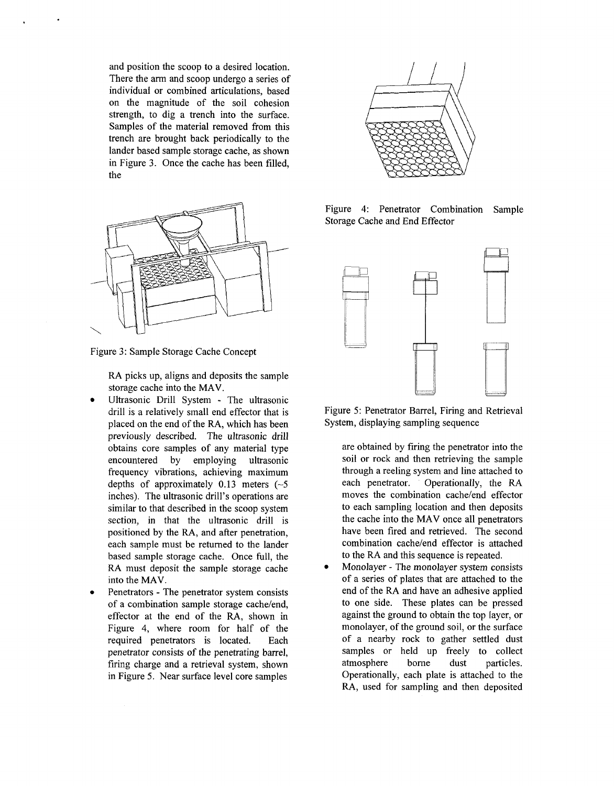and position the scoop to a desired location. There the arm and scoop undergo a series of individual or combined articulations, based on the magnitude of the soil cohesion strength, to dig a trench into the surface. Samples of the material removed from this trench are brought back periodically to the lander based sample storage cache, as shown in Figure *3.* Once the cache has been filled, the



Figure *3:* Sample Storage Cache Concept

RA picks up, aligns and deposits the sample storage cache into the **MAV.** 

- Ultrasonic Drill System The ultrasonic drill is a relatively small end effector that is placed on the end of the RA, which has been previously described. The ultrasonic drill obtains core samples of any material type encountered by employing ultrasonic frequency vibrations, achieving maximum depths of approximately 0. I3 meters *(-5*  inches). The ultrasonic drill's operations are similar to that described in the scoop system section, in that the ultrasonic drill is positioned by the RA, and after penetration, each sample must be returned to the lander based sample storage cache. Once full, the RA must deposit the sample storage cache into the **MAV.**
- Penetrators The penetrator system consists of a combination sample storage cache/end, effector at the end of the RA, shown in Figure 4, where room for half of the required penetrators is located. Each penetrator consists of the penetrating barrel, firing charge and a retrieval system, shown in Figure 5. Near surface level core samples



Figure 4: Penetrator Combination Sample Storage Cache and End Effector



Figure 5: Penetrator Barrel, Firing and Retrieval System, displaying sampling sequence

are obtained by firing the penetrator into the soil or rock and then retrieving the sample through a reeling system and line attached to each penetrator. Operationally, the RA moves the combination cache/end effector to each sampling location and then deposits the cache into the **MAV** once all penetrators have been fired and retrieved. The second combination cache/end effector is attached to the RA and this sequence is repeated.

Monolayer - The monolayer system consists of a series of plates that are attached to the end of the RA and have an adhesive applied to one side. These plates can be pressed against the ground to obtain the top layer, or monolayer, of the ground soil, or the surface of a nearby rock to gather settled dust samples or held up freely to collect atmosphere borne dust particles. Operationally, each plate is attached to the RA, used for sampling and then deposited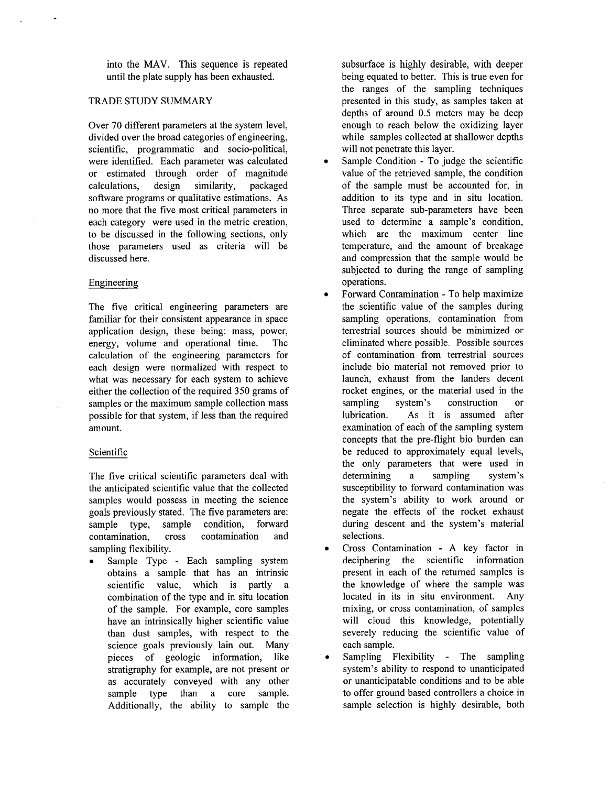into the **MAV.** This sequence is repeated until the plate supply has been exhausted.

# TRADE STUDY SUMMARY

Over 70 different parameters at the system level, divided over the broad categories of engineering, scientific, programmatic and socio-political, were identified. Each parameter was calculated or estimated through order of magnitude calculations, design similarity, packaged software programs or qualitative estimations. As no more that the five most critical parameters in each category were used in the metric creation, to be discussed in the following sections, only those parameters used as criteria will be discussed here.

#### Engineering

The five critical engineering parameters are familiar for their consistent appearance in space application design, these being: mass, power, energy, volume and operational time. The calculation of the engineering parameters for each design were normalized with respect to what was necessary for each system to achieve either the collection of the required **350** grams of samples or the maximum sample collection mass possible for that system, if less than the required amount.

#### Scientific

The five critical scientific parameters deal with the anticipated scientific value that the collected samples would possess in meeting the science goals previously stated. The five parameters are: sample type, sample condition, forward contamination, cross contamination and sampling flexibility.

Sample Type - Each sampling system obtains a sample that has an intrinsic scientific value, which is partly a combination of the type and in situ location of the sample. For example, core samples have an intrinsically higher scientific value than dust samples, with respect to the science goals previously lain out. Many pieces of geologic information, like stratigraphy for example, are not present or as accurately conveyed with any other sample type than a core sample. Additionally, the ability to sample the

subsurface is highly desirable, with deeper being equated to better. This is true even for the ranges of the sampling techniques presented in this study, as samples taken at depths of around **0.5** meters may be deep enough to reach below the oxidizing layer while samples collected at shallower depths will not penetrate this layer.

- Sample Condition To judge the scientific value of the retrieved sample, the condition of the sample must be accounted for, in addition to its type and in situ location. Three separate sub-parameters have been used to determine a sample's condition, which are the maximum center line temperature, and the amount of breakage and compression that the sample would be subjected to during the range of sampling operations.
- Forward Contamination To help maximize the scientific value of the samples during sampling operations, contamination from terrestrial sources should be minimized or eliminated where possible. Possible sources of contamination from terrestrial sources include bio material not removed prior to launch, exhaust from the landers decent rocket engines, or the material used in the sampling system's construction or lubrication. As it is assumed after examination of each of the sampling system concepts that the pre-flight bio burden can be reduced to approximately equal levels, the only parameters that were used in determining a sampling system's susceptibility to forward contamination was the system's ability to work around or negate the effects of the rocket exhaust during descent and the system's material selections.
- *0* Cross Contamination A key factor in deciphering the scientific information present in each of the returned samples is the knowledge of where the sample was located in its in situ environment. Any mixing, or cross contamination, of samples will cloud this knowledge, potentially severely reducing the scientific value of each sample.
- Sampling Flexibility The sampling system's ability to respond to unanticipated or unanticipatable conditions and to be able to offer ground based controllers a choice in sample selection is highly desirable, both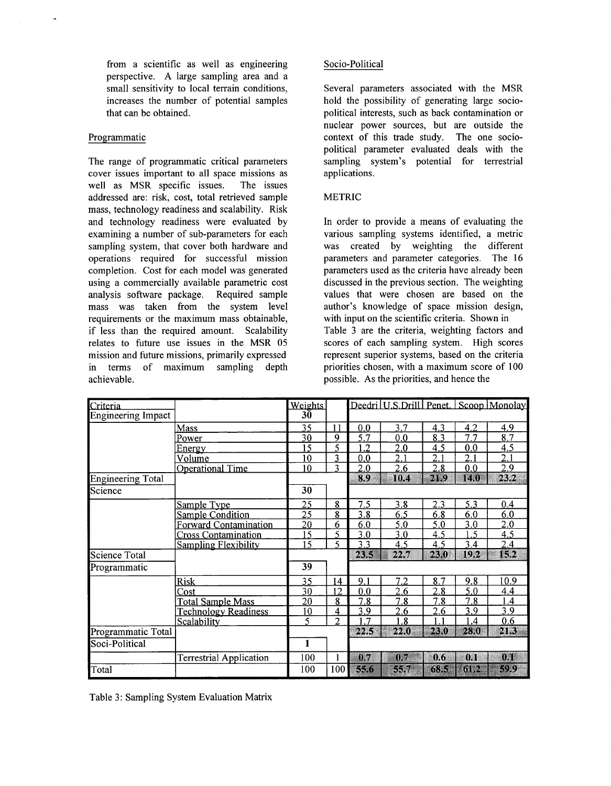from a scientific as well as engineering perspective. **A** large sampling area and a small sensitivity to local terrain conditions, increases the number of potential samples that can be obtained.

# Programmatic

The range of programmatic critical parameters cover issues important to all space missions as well as MSR specific issues. The issues addressed are: risk, cost, total retrieved sample mass, technology readiness and scalability. Risk and technology readiness were evaluated by examining a number of sub-parameters for each sampling system, that cover both hardware and operations required for successful mission completion. Cost for each model was generated using a commercially available parametric cost analysis software package. Required sample mass was taken from the system level requirements or the maximum mass obtainable, if less than the required amount. Scalability relates to future use issues in the MSR 05 mission and future missions, primarily expressed in terms of maximum sampling depth achievable.

# Socio-Political

Several parameters associated with the MSR hold the possibility of generating large sociopolitical interests, such as back contamination or nuclear power sources, but are outside the context of this trade study. The one sociopolitical parameter evaluated deals with the sampling system's potential for terrestrial applications.

# METRIC

In order to provide a means of evaluating the various sampling systems identified, a metric was created by weighting the different parameters and parameter categories. The 16 parameters used as the criteria have already been discussed in the previous section. The weighting values that were chosen are based on the author's knowledge of space mission design, with input on the scientific criteria. Shown in Table *3* are the criteria, weighting factors and scores of each sampling system. High scores represent superior systems, based on the criteria priorities chosen, with a maximum score of 100 possible. **As** the priorities, and hence the

| Criteria                  |                                | <b>Weights</b> |               |                  | Deedri U.S.Drill Penet. Scoop Monolay |            |                  |                  |
|---------------------------|--------------------------------|----------------|---------------|------------------|---------------------------------------|------------|------------------|------------------|
| <b>Engineering Impact</b> |                                | 3Ō             |               |                  |                                       |            |                  |                  |
|                           | Mass                           | 35             | 11            | 0.0              | 3.7                                   | 4.3        | 4.2              | 4.9              |
|                           | Power                          | 30             | 9             | 5.7              | 0.0                                   | 8.3        | 7.7              | 8.7              |
|                           | Energy                         | 15             | 5             | $\overline{.2}$  | 2.0                                   | 4.5        | 0.0              | 4.5              |
|                           | Volume                         | 10             | 3             | 0.0              | 2.1                                   | 2.1        | $\overline{2.1}$ | $\overline{2.1}$ |
|                           | <b>Operational Time</b>        | 10             | 3             | 2.0              | 2.6                                   | 2.8        | 0.0              | 2.9              |
| <b>Engineering Total</b>  |                                |                |               | 8.9              | 10.4                                  | 21.9       | 14.0             | 23.2             |
| Science                   |                                | 30             |               |                  |                                       |            |                  |                  |
|                           | Sample Type                    | 25             | 8             | 7.5              | 3.8                                   | 2.3        | 5.3              | 0.4              |
|                           | Sample Condition               | 25             | 8             | $\overline{3.8}$ | 6.5                                   | 6.8        | 6.0              | 6.0              |
|                           | Forward Contamination          | 20             | 6             | 6.0              | 5.0                                   | 5.0        | 3.0              | 2.0              |
|                           | <b>Cross Contamination</b>     | 15             | 5             | 3.0              | 3.0                                   | <u>4.5</u> | .5               | 4.5              |
|                           | <b>Sampling Flexibility</b>    | 15             | 5             | 3.3              | 4.5                                   | 4.5        | 3.4              | 2.4              |
| <b>Science Total</b>      |                                |                |               | 23.5             | 22.7                                  | 23.0       | 19.2             | 15.2             |
| Programmatic              |                                | 39             |               |                  |                                       |            |                  |                  |
|                           | <b>Risk</b>                    | 35             | 14            | 9.1              | 7.2                                   | 8.7        | 9.8              | 10.9             |
|                           | Cost                           | 30             | 12            | 0.0              | 2.6                                   | 2.8        | 5.0              | 4.4              |
|                           | <b>Total Sample Mass</b>       | 20             | 8             | 7.8              | 7.8                                   | 7.8        | 7.8              | $\mathbf{.4}$    |
|                           | <b>Technology Readiness</b>    | 10             | 4             | 3.9              | 2.6                                   | 2.6        | 3.9              | 3.9              |
|                           | Scalability                    | 5              | $\mathcal{D}$ | 7                | 1.8                                   | 1.1        | 1.4              | 0.6              |
| Programmatic Total        |                                |                |               | 22.5             | 22.0                                  | 23.0       | 28.0             | 213              |
| Soci-Political            |                                |                |               |                  |                                       |            |                  |                  |
|                           | <b>Terrestrial Application</b> | 100            | 1             | 0.7              | W                                     | 0.6        | 0.1              | 0 <sub>1</sub>   |
| Total                     |                                | 100            | 100           | 55.6             | 55.7                                  | 68.5       | $6\sqrt{2}$      | 59.9             |

Table *3:* Sampling System Evaluation Matrix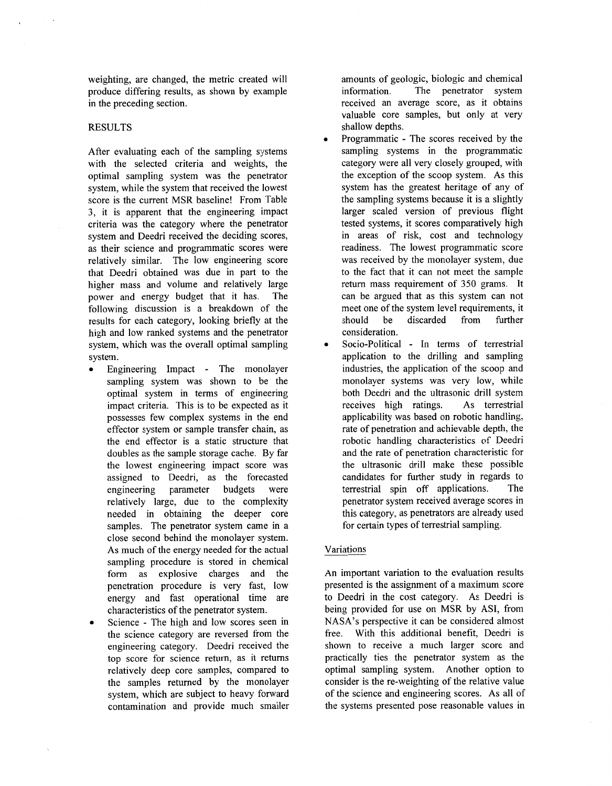weighting, are changed, the metric created will produce differing results, as shown by example in the preceding section.

### RESULTS

After evaluating each of the sampling systems with the selected criteria and weights, the optimal sampling system was the penetrator system, while the system that received the lowest score is the current MSR baseline! From Table *3,* it is apparent that the engineering impact criteria was the category where the penetrator system and Deedri received the deciding scores, as their science and programmatic scores were relatively similar. The low engineering score that Deedri obtained was due in part to the higher mass and volume and relatively large power and energy budget that it has. The following discussion is a breakdown of the results for each category, looking briefly at the high and low ranked systems and the penetrator system, which was the overall optimal sampling system.

- Engineering Impact The monolayer sampling system was shown to be the optimal system in terms of engineering impact criteria. This is to be expected as it possesses few complex systems in the end effector system or sample transfer chain, as the end effector is a static structure that doubles as the sample storage cache. By far the lowest engineering impact score was assigned to Deedri, as the forecasted engineering parameter budgets were relatively large, due to the complexity needed in obtaining the deeper core samples. The penetrator system came in a close second behind the monolayer system. As much of the energy needed for the actual sampling procedure is stored in chemical form as explosive charges and the penetration procedure is very fast, low energy and fast operational time are characteristics of the penetrator system.
- Science The high and low scores seen in the science category are reversed from the engineering category. Deedri received the top score for science return, as it returns relatively deep core samples, compared to the samples returned by the monolayer system, which are subject to heavy forward contamination and provide much smaller

amounts of geologic, biologic and chemical information. The penetrator system received an average score, as it obtains valuable core samples, but only at very shallow depths.

- Programmatic The scores received by the sampling systems in the programmatic category were all very closely grouped, with the exception of the scoop system. As this system has the greatest heritage of any of the sampling systems because it is a slightly larger scaled version of previous flight tested systems, it scores comparatively high in areas of risk, cost and technology readiness. The lowest programmatic score was received by the monolayer system, due to the fact that it can not meet the sample return mass requirement of 350 grams. It can be argued that as this system can not meet one of the system level requirements, it should be discarded from further consideration.
- Socio-Political In terms of terrestrial application to the drilling and sampling industries, the application of the scoop and monolayer systems was very low, while both Deedri and the ultrasonic drill system receives high ratings. **As** terrestrial applicability was based on robotic handling, rate of penetration and achievable depth, the robotic handling characteristics of Deedri and the rate of penetration characteristic for the ultrasonic drill make these possible candidates for further study in regards to terrestrial spin off applications. The penetrator system received average scores in this category, as penetrators are already used for certain types of terrestrial sampling.

## Variations

An important variation to the evaluation results presented is the assignment of a maximum score to Deedri in the cost category. **As** Deedri is being provided for use on MSR by ASI, from NASA's perspective it can be considered almost free. With this additional benefit, Deedri is shown to receive a much larger score and practically ties the penetrator system as the optimal sampling system. Another option to consider is the re-weighting of the relative value of the science and engineering scores. As all of the systems presented pose reasonable values in